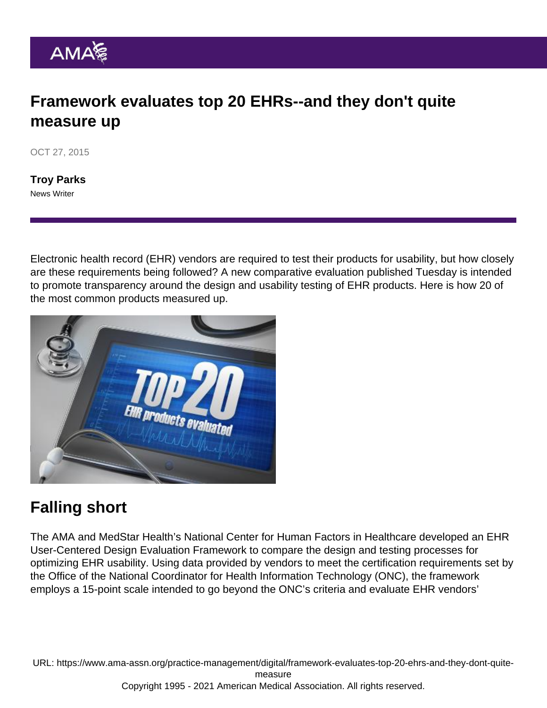## Framework evaluates top 20 EHRs--and they don't quite measure up

OCT 27, 2015

[Troy Parks](https://www.ama-assn.org/news-leadership-viewpoints/authors-news-leadership-viewpoints/troy-parks) News Writer

Electronic health record (EHR) vendors are required to test their products for usability, but how closely are these requirements being followed? A new comparative evaluation published Tuesday is intended to promote transparency around the design and usability testing of EHR products. Here is how 20 of the most common products measured up.

## Falling short

The AMA and MedStar Health's National Center for Human Factors in Healthcare developed an [EHR](http://www.medicalhumanfactors.net/ehr-vendor-framework/#q={}) [User-Centered Design Evaluation Framework](http://www.medicalhumanfactors.net/ehr-vendor-framework/#q={}) to compare the design and testing processes for optimizing EHR usability. Using data provided by vendors to meet the certification requirements set by the Office of the National Coordinator for Health Information Technology (ONC), the framework employs a 15-point scale intended to go beyond the ONC's criteria and evaluate EHR vendors'

URL: [https://www.ama-assn.org/practice-management/digital/framework-evaluates-top-20-ehrs-and-they-dont-quite](https://www.ama-assn.org/practice-management/digital/framework-evaluates-top-20-ehrs-and-they-dont-quite-measure)[measure](https://www.ama-assn.org/practice-management/digital/framework-evaluates-top-20-ehrs-and-they-dont-quite-measure) Copyright 1995 - 2021 American Medical Association. All rights reserved.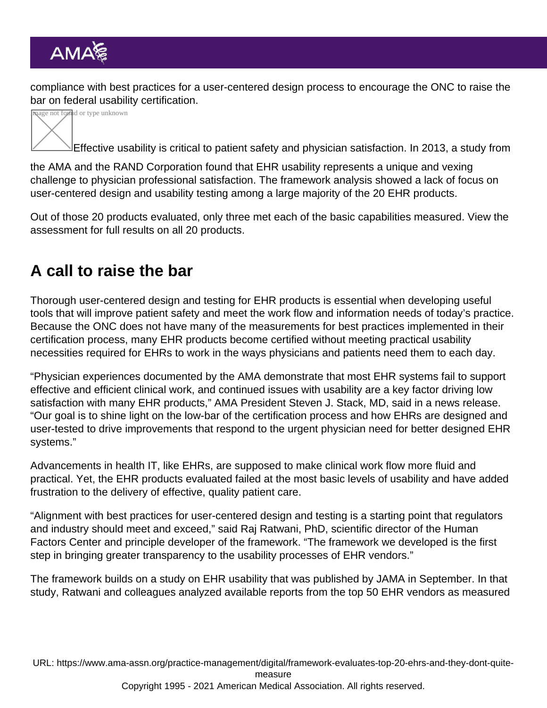compliance with best practices for a user-centered design process to encourage the ONC to raise the bar on federal usability certification.



Effective usability is critical to patient safety and physician satisfaction. In 2013, a [study](http://www.rand.org/pubs/research_reports/RR439.html) from

the AMA and the RAND Corporation found that EHR usability represents a unique and vexing challenge to physician professional satisfaction. The framework analysis showed a lack of focus on user-centered design and usability testing among a large majority of the 20 EHR products.

Out of those 20 products evaluated, only three met each of the basic capabilities measured. [View the](http://www.medicalhumanfactors.net/health-it/ehr-vendor-framework/#q={}) [assessment](http://www.medicalhumanfactors.net/health-it/ehr-vendor-framework/#q={}) for full results on all 20 products.

## A call to raise the bar

Thorough user-centered design and testing for EHR products is essential when developing useful tools that will improve patient safety and meet the work flow and information needs of today's practice. Because the ONC does not have many of the measurements for best practices implemented in their certification process, many EHR products become certified without meeting practical usability necessities required for EHRs to work in the ways physicians and patients need them to each day.

"Physician experiences documented by the AMA demonstrate that most EHR systems fail to support effective and efficient clinical work, and continued issues with usability are a key factor driving low satisfaction with many EHR products," AMA President Steven J. Stack, MD, said in a news release. "Our goal is to shine light on the low-bar of the certification process and how EHRs are designed and user-tested to drive improvements that respond to the urgent physician need for better designed EHR systems."

Advancements in health IT, like EHRs, are supposed to make clinical work flow more fluid and practical. Yet, the EHR products evaluated failed at the most basic levels of usability and have added frustration to the delivery of effective, quality patient care.

"Alignment with best practices for user-centered design and testing is a starting point that regulators and industry should meet and exceed," said Raj Ratwani, PhD, scientific director of the Human Factors Center and principle developer of the framework. "The framework we developed is the first step in bringing greater transparency to the usability processes of EHR vendors."

The framework builds on a study on EHR usability that was published by JAMA in September. In that study, Ratwani and colleagues analyzed available reports from the top 50 EHR vendors as measured

URL: [https://www.ama-assn.org/practice-management/digital/framework-evaluates-top-20-ehrs-and-they-dont-quite](https://www.ama-assn.org/practice-management/digital/framework-evaluates-top-20-ehrs-and-they-dont-quite-measure)[measure](https://www.ama-assn.org/practice-management/digital/framework-evaluates-top-20-ehrs-and-they-dont-quite-measure) Copyright 1995 - 2021 American Medical Association. All rights reserved.